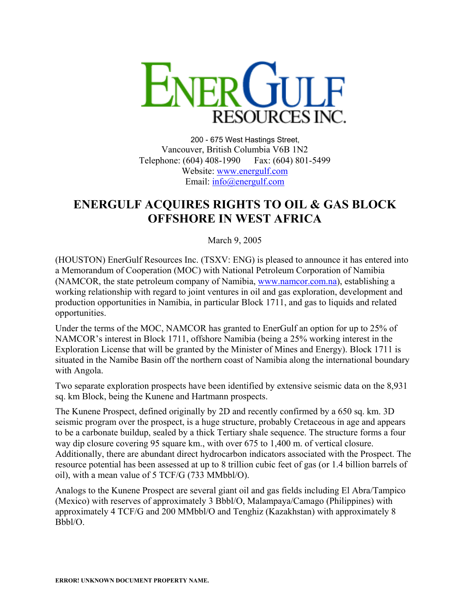

200 - 675 West Hastings Street, Vancouver, British Columbia V6B 1N2 Telephone: (604) 408-1990 Fax: (604) 801-5499 Website: [www.energulf.com](http://www.energulf.com/) Email: [info@energulf.com](mailto:info@energulf.com)

## **ENERGULF ACQUIRES RIGHTS TO OIL & GAS BLOCK OFFSHORE IN WEST AFRICA**

March 9, 2005

(HOUSTON) EnerGulf Resources Inc. (TSXV: ENG) is pleased to announce it has entered into a Memorandum of Cooperation (MOC) with National Petroleum Corporation of Namibia (NAMCOR, the state petroleum company of Namibia, [www.namcor.com.na\)](http://www.namcor.com.na/), establishing a working relationship with regard to joint ventures in oil and gas exploration, development and production opportunities in Namibia, in particular Block 1711, and gas to liquids and related opportunities.

Under the terms of the MOC, NAMCOR has granted to EnerGulf an option for up to 25% of NAMCOR's interest in Block 1711, offshore Namibia (being a 25% working interest in the Exploration License that will be granted by the Minister of Mines and Energy). Block 1711 is situated in the Namibe Basin off the northern coast of Namibia along the international boundary with Angola.

Two separate exploration prospects have been identified by extensive seismic data on the 8,931 sq. km Block, being the Kunene and Hartmann prospects.

The Kunene Prospect, defined originally by 2D and recently confirmed by a 650 sq. km. 3D seismic program over the prospect, is a huge structure, probably Cretaceous in age and appears to be a carbonate buildup, sealed by a thick Tertiary shale sequence. The structure forms a four way dip closure covering 95 square km., with over 675 to 1,400 m. of vertical closure. Additionally, there are abundant direct hydrocarbon indicators associated with the Prospect. The resource potential has been assessed at up to 8 trillion cubic feet of gas (or 1.4 billion barrels of oil), with a mean value of 5 TCF/G (733 MMbbl/O).

Analogs to the Kunene Prospect are several giant oil and gas fields including El Abra/Tampico (Mexico) with reserves of approximately 3 Bbbl/O, Malampaya/Camago (Philippines) with approximately 4 TCF/G and 200 MMbbl/O and Tenghiz (Kazakhstan) with approximately 8 Bbbl/O.